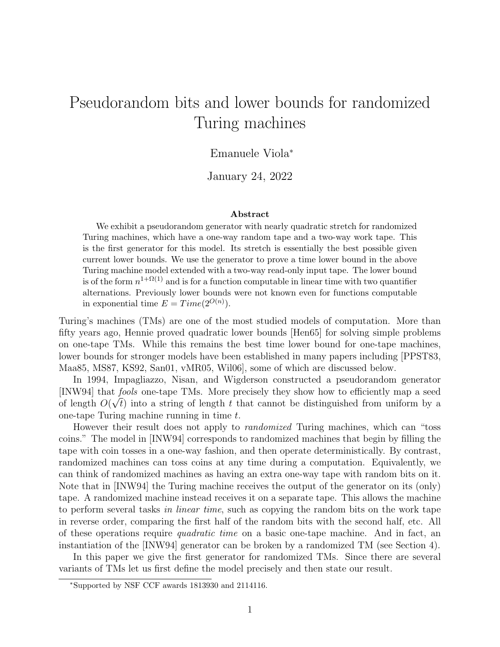# Pseudorandom bits and lower bounds for randomized Turing machines

#### Emanuele Viola<sup>∗</sup>

January 24, 2022

#### Abstract

We exhibit a pseudorandom generator with nearly quadratic stretch for randomized Turing machines, which have a one-way random tape and a two-way work tape. This is the first generator for this model. Its stretch is essentially the best possible given current lower bounds. We use the generator to prove a time lower bound in the above Turing machine model extended with a two-way read-only input tape. The lower bound is of the form  $n^{1+\Omega(1)}$  and is for a function computable in linear time with two quantifier alternations. Previously lower bounds were not known even for functions computable in exponential time  $E = Time(2^{O(n)})$ .

Turing's machines (TMs) are one of the most studied models of computation. More than fifty years ago, Hennie proved quadratic lower bounds [Hen65] for solving simple problems on one-tape TMs. While this remains the best time lower bound for one-tape machines, lower bounds for stronger models have been established in many papers including [PPST83, Maa85, MS87, KS92, San01, vMR05, Wil06], some of which are discussed below.

In 1994, Impagliazzo, Nisan, and Wigderson constructed a pseudorandom generator [INW94] that fools one-tape TMs. More precisely they show how to efficiently map a seed √ of length  $O(\sqrt{t})$  into a string of length t that cannot be distinguished from uniform by a one-tape Turing machine running in time t.

However their result does not apply to *randomized* Turing machines, which can "toss coins." The model in [INW94] corresponds to randomized machines that begin by filling the tape with coin tosses in a one-way fashion, and then operate deterministically. By contrast, randomized machines can toss coins at any time during a computation. Equivalently, we can think of randomized machines as having an extra one-way tape with random bits on it. Note that in [INW94] the Turing machine receives the output of the generator on its (only) tape. A randomized machine instead receives it on a separate tape. This allows the machine to perform several tasks in linear time, such as copying the random bits on the work tape in reverse order, comparing the first half of the random bits with the second half, etc. All of these operations require *quadratic time* on a basic one-tape machine. And in fact, an instantiation of the [INW94] generator can be broken by a randomized TM (see Section 4).

In this paper we give the first generator for randomized TMs. Since there are several variants of TMs let us first define the model precisely and then state our result.

<sup>∗</sup>Supported by NSF CCF awards 1813930 and 2114116.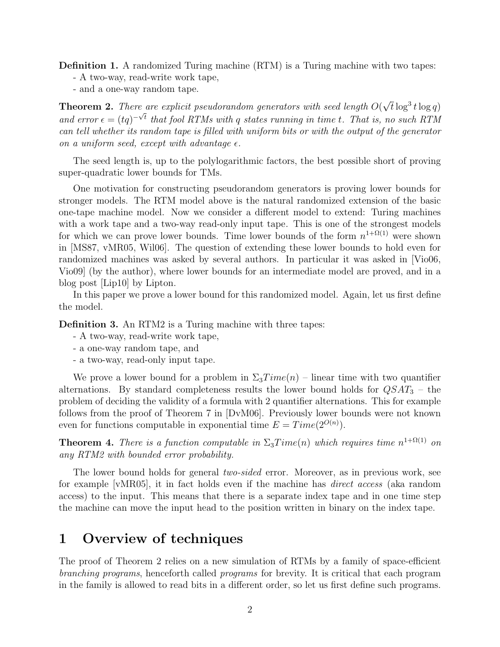Definition 1. A randomized Turing machine (RTM) is a Turing machine with two tapes:

- A two-way, read-write work tape,

- and a one-way random tape.

**Theorem 2.** There are explicit pseudorandom generators with seed length  $O($  $\tilde{f}_e$  are explicit pseudorandom generators with seed length  $O(\sqrt{t}\log^3 t\log q)$ and error  $\epsilon = (tq)^{-\sqrt{t}}$  that fool RTMs with q states running in time t. That is, no such RTM can tell whether its random tape is filled with uniform bits or with the output of the generator on a uniform seed, except with advantage  $\epsilon$ .

The seed length is, up to the polylogarithmic factors, the best possible short of proving super-quadratic lower bounds for TMs.

One motivation for constructing pseudorandom generators is proving lower bounds for stronger models. The RTM model above is the natural randomized extension of the basic one-tape machine model. Now we consider a different model to extend: Turing machines with a work tape and a two-way read-only input tape. This is one of the strongest models for which we can prove lower bounds. Time lower bounds of the form  $n^{1+\Omega(1)}$  were shown in [MS87, vMR05, Wil06]. The question of extending these lower bounds to hold even for randomized machines was asked by several authors. In particular it was asked in [Vio06, Vio09] (by the author), where lower bounds for an intermediate model are proved, and in a blog post [Lip10] by Lipton.

In this paper we prove a lower bound for this randomized model. Again, let us first define the model.

Definition 3. An RTM2 is a Turing machine with three tapes:

- A two-way, read-write work tape,
- a one-way random tape, and
- a two-way, read-only input tape.

We prove a lower bound for a problem in  $\Sigma_3Time(n)$  – linear time with two quantifier alternations. By standard completeness results the lower bound holds for  $\mathbb{Q}SAT_3$  – the problem of deciding the validity of a formula with 2 quantifier alternations. This for example follows from the proof of Theorem 7 in [DvM06]. Previously lower bounds were not known even for functions computable in exponential time  $E = Time(2^{O(n)})$ .

**Theorem 4.** There is a function computable in  $\Sigma_3 Time(n)$  which requires time  $n^{1+\Omega(1)}$  on any RTM2 with bounded error probability.

The lower bound holds for general *two-sided* error. Moreover, as in previous work, see for example [vMR05], it in fact holds even if the machine has direct access (aka random access) to the input. This means that there is a separate index tape and in one time step the machine can move the input head to the position written in binary on the index tape.

### 1 Overview of techniques

The proof of Theorem 2 relies on a new simulation of RTMs by a family of space-efficient branching programs, henceforth called programs for brevity. It is critical that each program in the family is allowed to read bits in a different order, so let us first define such programs.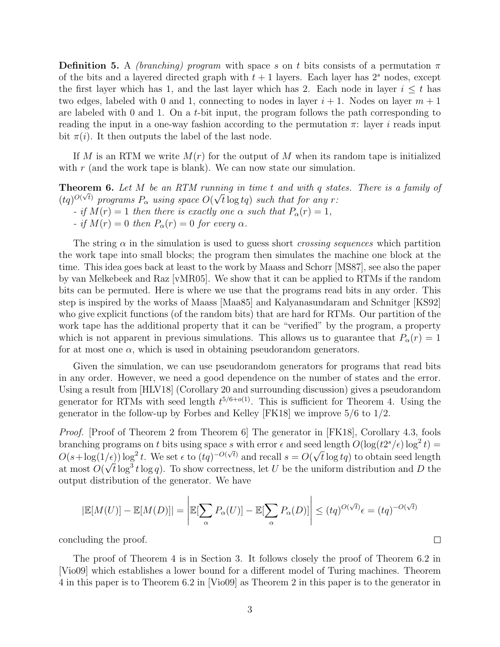**Definition 5.** A *(branching) program* with space s on t bits consists of a permutation  $\pi$ of the bits and a layered directed graph with  $t + 1$  layers. Each layer has  $2<sup>s</sup>$  nodes, except the first layer which has 1, and the last layer which has 2. Each node in layer  $i \leq t$  has two edges, labeled with 0 and 1, connecting to nodes in layer  $i + 1$ . Nodes on layer  $m + 1$ are labeled with 0 and 1. On a t-bit input, the program follows the path corresponding to reading the input in a one-way fashion according to the permutation  $\pi$ : layer i reads input bit  $\pi(i)$ . It then outputs the label of the last node.

If M is an RTM we write  $M(r)$  for the output of M when its random tape is initialized with  $r$  (and the work tape is blank). We can now state our simulation.

**Theorem 6.** Let M be an RTM running in time t and with q states. There is a family of  $(tq)^{O(\sqrt{t})}$  programs  $P_{\alpha}$  using space  $O(\sqrt{t}\log tq)$  such that for any r: - if  $M(r) = 1$  then there is exactly one  $\alpha$  such that  $P_{\alpha}(r) = 1$ , - if  $M(r) = 0$  then  $P_{\alpha}(r) = 0$  for every  $\alpha$ .

The string  $\alpha$  in the simulation is used to guess short *crossing sequences* which partition the work tape into small blocks; the program then simulates the machine one block at the time. This idea goes back at least to the work by Maass and Schorr [MS87], see also the paper by van Melkebeek and Raz [vMR05]. We show that it can be applied to RTMs if the random bits can be permuted. Here is where we use that the programs read bits in any order. This step is inspired by the works of Maass [Maa85] and Kalyanasundaram and Schnitger [KS92] who give explicit functions (of the random bits) that are hard for RTMs. Our partition of the work tape has the additional property that it can be "verified" by the program, a property which is not apparent in previous simulations. This allows us to guarantee that  $P_{\alpha}(r) = 1$ for at most one  $\alpha$ , which is used in obtaining pseudorandom generators.

Given the simulation, we can use pseudorandom generators for programs that read bits in any order. However, we need a good dependence on the number of states and the error. Using a result from [HLV18] (Corollary 20 and surrounding discussion) gives a pseudorandom generator for RTMs with seed length  $t^{5/6+o(1)}$ . This is sufficient for Theorem 4. Using the generator in the follow-up by Forbes and Kelley [FK18] we improve 5/6 to 1/2.

Proof. [Proof of Theorem 2 from Theorem 6] The generator in [FK18], Corollary 4.3, fools branching programs on t bits using space s with error  $\epsilon$  and seed length  $O(\log(t2^s/\epsilon)\log^2 t)$  $O(s + \log(1/\epsilon)) \log^2 t$ . We set  $\epsilon$  to  $(tq)^{-O(\sqrt{t})}$  and recall  $s = O(\epsilon)$ √  $t(e)$ )  $\log^2 t$ . We set  $\epsilon$  to  $(tq)^{-O(\sqrt{t})}$  and recall  $s = O(\sqrt{t} \log t q)$  to obtain seed length at most  $O(\sqrt{t} \log^3 t \log q)$ . To show correctness, let U be the uniform distribution and D the output distribution of the generator. We have

$$
|\mathbb{E}[M(U)] - \mathbb{E}[M(D)]| = \left| \mathbb{E}[\sum_{\alpha} P_{\alpha}(U)] - \mathbb{E}[\sum_{\alpha} P_{\alpha}(D)] \right| \le (tq)^{O(\sqrt{t})} \epsilon = (tq)^{-O(\sqrt{t})}
$$

 $\Box$ 

concluding the proof.

The proof of Theorem 4 is in Section 3. It follows closely the proof of Theorem 6.2 in [Vio09] which establishes a lower bound for a different model of Turing machines. Theorem 4 in this paper is to Theorem 6.2 in [Vio09] as Theorem 2 in this paper is to the generator in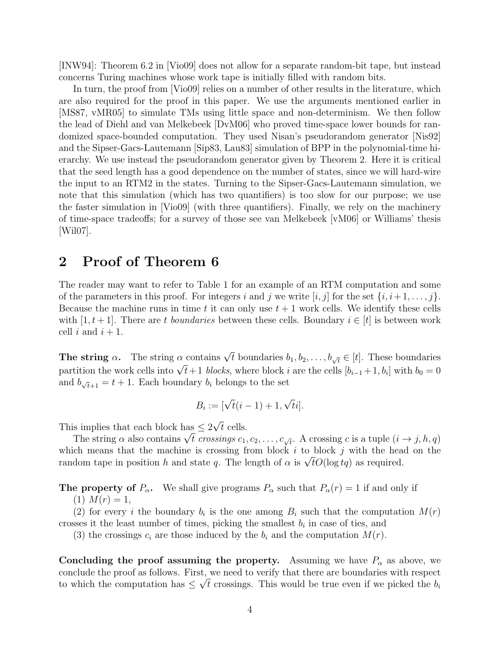[INW94]: Theorem 6.2 in [Vio09] does not allow for a separate random-bit tape, but instead concerns Turing machines whose work tape is initially filled with random bits.

In turn, the proof from [Vio09] relies on a number of other results in the literature, which are also required for the proof in this paper. We use the arguments mentioned earlier in [MS87, vMR05] to simulate TMs using little space and non-determinism. We then follow the lead of Diehl and van Melkebeek [DvM06] who proved time-space lower bounds for randomized space-bounded computation. They used Nisan's pseudorandom generator [Nis92] and the Sipser-Gacs-Lautemann [Sip83, Lau83] simulation of BPP in the polynomial-time hierarchy. We use instead the pseudorandom generator given by Theorem 2. Here it is critical that the seed length has a good dependence on the number of states, since we will hard-wire the input to an RTM2 in the states. Turning to the Sipser-Gacs-Lautemann simulation, we note that this simulation (which has two quantifiers) is too slow for our purpose; we use the faster simulation in [Vio09] (with three quantifiers). Finally, we rely on the machinery of time-space tradeoffs; for a survey of those see van Melkebeek [vM06] or Williams' thesis [Wil07].

### 2 Proof of Theorem 6

The reader may want to refer to Table 1 for an example of an RTM computation and some of the parameters in this proof. For integers i and j we write  $[i, j]$  for the set  $\{i, i+1, \ldots, j\}$ . Because the machine runs in time t it can only use  $t + 1$  work cells. We identify these cells with  $[1, t+1]$ . There are t boundaries between these cells. Boundary  $i \in [t]$  is between work cell i and  $i + 1$ .

**The string**  $\alpha$ . The string  $\alpha$  contains  $\sqrt{t}$  boundaries  $b_1, b_2, \ldots, b_{\sqrt{t}} \in [t]$ . These boundaries **The string a.** The string a contains  $\forall i$  boundaries  $v_1, v_2, \ldots, v_{\sqrt{i}} \in [i]$ . These boundaries partition the work cells into  $\sqrt{t} + 1$  blocks, where block i are the cells  $[b_{i-1} + 1, b_i]$  with  $b_0 = 0$ and  $b_{\sqrt{t}+1} = t + 1$ . Each boundary  $b_i$  belongs to the set

$$
B_i := [\sqrt{t}(i-1) + 1, \sqrt{t}i].
$$

This implies that each block has  $\leq 2$ √ t cells.

s implies that each block has  $\leq 2\sqrt{t}$  cells.<br>The string  $\alpha$  also contains  $\sqrt{t}$  crossings  $c_1, c_2, \ldots, c_{\sqrt{t}}$ . A crossing  $c$  is a tuple  $(i \rightarrow j, h, q)$ which means that the machine is crossing from block  $i$  to block  $j$  with the head on the which means that the machine is crossing from block t to block f with the nea<br>random tape in position h and state q. The length of  $\alpha$  is  $\sqrt{t}O(\log tq)$  as required.

**The property of**  $P_{\alpha}$ **.** We shall give programs  $P_{\alpha}$  such that  $P_{\alpha}(r) = 1$  if and only if

 $(1)$   $M(r) = 1$ ,

(2) for every i the boundary  $b_i$  is the one among  $B_i$  such that the computation  $M(r)$ crosses it the least number of times, picking the smallest  $b_i$  in case of ties, and

(3) the crossings  $c_i$  are those induced by the  $b_i$  and the computation  $M(r)$ .

Concluding the proof assuming the property. Assuming we have  $P_{\alpha}$  as above, we conclude the proof as follows. First, we need to verify that there are boundaries with respect √ to which the computation has  $\leq \sqrt{t}$  crossings. This would be true even if we picked the  $b_i$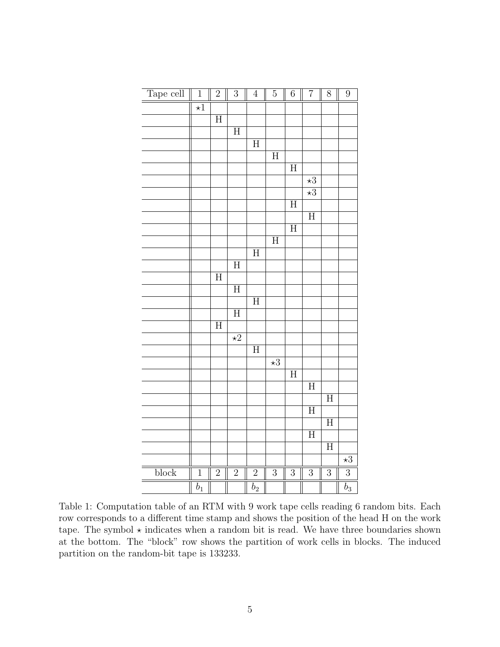| Tape cell | $\overline{1}$       | $\overline{2}$     | $\overline{3}$          | $\overline{4}$     | $\bf 5$              | $\sqrt{6}$              | $\overline{7}$       | 8              | $\overline{9}$       |
|-----------|----------------------|--------------------|-------------------------|--------------------|----------------------|-------------------------|----------------------|----------------|----------------------|
|           | $\overline{\star 1}$ |                    |                         |                    |                      |                         |                      |                |                      |
|           |                      | $\overline{H}$     |                         |                    |                      |                         |                      |                |                      |
|           |                      |                    | $\overline{H}$          |                    |                      |                         |                      |                |                      |
|           |                      |                    |                         | $\overline{H}$     |                      |                         |                      |                |                      |
|           |                      |                    |                         |                    | $\overline{H}$       |                         |                      |                |                      |
|           |                      |                    |                         |                    |                      | $\overline{H}$          |                      |                |                      |
|           |                      |                    |                         |                    |                      |                         | $\overline{\star 3}$ |                |                      |
|           |                      |                    |                         |                    |                      |                         | $\overline{\star 3}$ |                |                      |
|           |                      |                    |                         |                    |                      | $\overline{H}$          |                      |                |                      |
|           |                      |                    |                         |                    |                      |                         | $\overline{H}$       |                |                      |
|           |                      |                    |                         |                    |                      | $\overline{\mathrm{H}}$ |                      |                |                      |
|           |                      |                    |                         |                    | $\overline{H}$       |                         |                      |                |                      |
|           |                      |                    |                         | $\overline{\rm H}$ |                      |                         |                      |                |                      |
|           |                      |                    | $\overline{H}$          |                    |                      |                         |                      |                |                      |
|           |                      | $\overline{\rm H}$ |                         |                    |                      |                         |                      |                |                      |
|           |                      |                    | $\overline{H}$          |                    |                      |                         |                      |                |                      |
|           |                      |                    |                         | $\overline{H}$     |                      |                         |                      |                |                      |
|           |                      |                    | $\overline{\mathrm{H}}$ |                    |                      |                         |                      |                |                      |
|           |                      | $\overline{H}$     |                         |                    |                      |                         |                      |                |                      |
|           |                      |                    | $\overline{\star 2}$    |                    |                      |                         |                      |                |                      |
|           |                      |                    |                         | $\overline{H}$     |                      |                         |                      |                |                      |
|           |                      |                    |                         |                    | $\overline{\star 3}$ |                         |                      |                |                      |
|           |                      |                    |                         |                    |                      | $\overline{H}$          |                      |                |                      |
|           |                      |                    |                         |                    |                      |                         | $\overline{H}$       |                |                      |
|           |                      |                    |                         |                    |                      |                         |                      | $\overline{H}$ |                      |
|           |                      |                    |                         |                    |                      |                         | $\overline{H}$       |                |                      |
|           |                      |                    |                         |                    |                      |                         |                      | $\overline{H}$ |                      |
|           |                      |                    |                         |                    |                      |                         | $\overline{H}$       |                |                      |
|           |                      |                    |                         |                    |                      |                         |                      | $\overline{H}$ |                      |
|           |                      |                    |                         |                    |                      |                         |                      |                | $\overline{\star 3}$ |
| block     | $\overline{1}$       | $\overline{2}$     | $\overline{2}$          | $\overline{2}$     | $\overline{3}$       | $\overline{3}$          | $\overline{3}$       | $\overline{3}$ | $\overline{3}$       |
|           | $\overline{b}_1$     |                    |                         | $\overline{b_2}$   |                      |                         |                      |                | $\overline{b_3}$     |

Table 1: Computation table of an RTM with 9 work tape cells reading 6 random bits. Each row corresponds to a different time stamp and shows the position of the head H on the work tape. The symbol  $\star$  indicates when a random bit is read. We have three boundaries shown at the bottom. The "block" row shows the partition of work cells in blocks. The induced partition on the random-bit tape is 133233.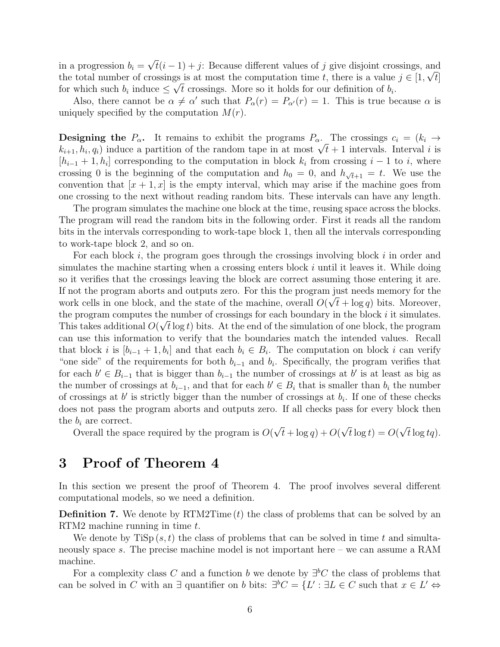in a progression  $b_i =$ √  $t(i-1) + j$ : Because different values of j give disjoint crossings, and the total number of crossings is at most the computation time t, there is a value  $j \in [1, \sqrt{t}]$ for which such  $b_i$  induce  $\leq \sqrt{t}$  crossings. More so it holds for our definition of  $b_i$ .

Also, there cannot be  $\alpha \neq \alpha'$  such that  $P_{\alpha}(r) = P_{\alpha'}(r) = 1$ . This is true because  $\alpha$  is uniquely specified by the computation  $M(r)$ .

**Designing the**  $P_{\alpha}$ . It remains to exhibit the programs  $P_{\alpha}$ . The crossings  $c_i = (k_i \rightarrow$ **Designing the**  $F_{\alpha}$ . It remains to exhibit the programs  $F_{\alpha}$ . The crossings  $c_i = (\kappa_i \rightarrow k_{i+1}, h_i, q_i)$  induce a partition of the random tape in at most  $\sqrt{t} + 1$  intervals. Interval i is  $[h_{i-1}+1,h_i]$  corresponding to the computation in block  $k_i$  from crossing  $i-1$  to i, where crossing 0 is the beginning of the computation and  $h_0 = 0$ , and  $h_{\sqrt{t+1}} = t$ . We use the convention that  $[x + 1, x]$  is the empty interval, which may arise if the machine goes from one crossing to the next without reading random bits. These intervals can have any length.

The program simulates the machine one block at the time, reusing space across the blocks. The program will read the random bits in the following order. First it reads all the random bits in the intervals corresponding to work-tape block 1, then all the intervals corresponding to work-tape block 2, and so on.

For each block  $i$ , the program goes through the crossings involving block  $i$  in order and simulates the machine starting when a crossing enters block  $i$  until it leaves it. While doing so it verifies that the crossings leaving the block are correct assuming those entering it are. If not the program aborts and outputs zero. For this the program just needs memory for the work cells in one block, and the state of the machine, overall  $O(\sqrt{t} + \log q)$  bits. Moreover, the program computes the number of crossings for each boundary in the block i it simulates. This takes additional  $O(\sqrt{t} \log t)$  bits. At the end of the simulation of one block, the program can use this information to verify that the boundaries match the intended values. Recall that block *i* is  $[b_{i-1}+1, b_i]$  and that each  $b_i \in B_i$ . The computation on block *i* can verify "one side" of the requirements for both  $b_{i-1}$  and  $b_i$ . Specifically, the program verifies that for each  $b' \in B_{i-1}$  that is bigger than  $b_{i-1}$  the number of crossings at b' is at least as big as the number of crossings at  $b_{i-1}$ , and that for each  $b' \in B_i$  that is smaller than  $b_i$  the number of crossings at  $b'$  is strictly bigger than the number of crossings at  $b_i$ . If one of these checks does not pass the program aborts and outputs zero. If all checks pass for every block then the  $b_i$  are correct. √ √ √

Overall the space required by the program is  $O($  $t + \log q$ ) + O(  $t \log t$ ) = O(  $t\log tq$ ).

#### 3 Proof of Theorem 4

In this section we present the proof of Theorem 4. The proof involves several different computational models, so we need a definition.

**Definition 7.** We denote by  $\operatorname{RTM2Time}(t)$  the class of problems that can be solved by an RTM2 machine running in time t.

We denote by  $\text{TiSp}(s,t)$  the class of problems that can be solved in time t and simultaneously space s. The precise machine model is not important here – we can assume a RAM machine.

For a complexity class C and a function b we denote by  $\exists b C$  the class of problems that can be solved in C with an  $\exists$  quantifier on b bits:  $\exists^b C = \{L' : \exists L \in C$  such that  $x \in L' \Leftrightarrow$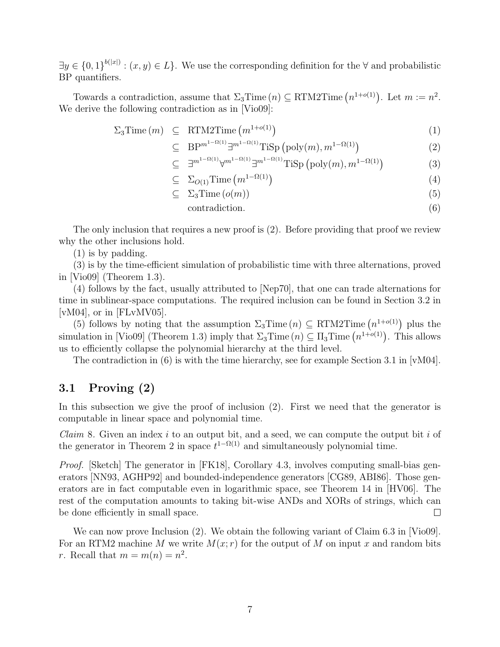$\exists y \in \{0,1\}^{b(|x|)} : (x, y) \in L\}.$  We use the corresponding definition for the  $\forall$  and probabilistic BP quantifiers.

Towards a contradiction, assume that  $\Sigma_3$ Time  $(n) \subseteq$  RTM2Time  $(n^{1+o(1)})$ . Let  $m := n^2$ . We derive the following contradiction as in [Vio09]:

$$
\Sigma_3 \text{Time} \,(m) \quad \subseteq \quad \text{RTM2} \text{Time} \,(m^{1+o(1)}) \tag{1}
$$

$$
\subseteq \quad \text{BP}^{m^{1-\Omega(1)}} \exists^{m^{1-\Omega(1)}} \text{TiSp}\left(\text{poly}(m), m^{1-\Omega(1)}\right) \tag{2}
$$

$$
\subseteq \exists^{m^{1-\Omega(1)}} \forall^{m^{1-\Omega(1)}} \exists^{m^{1-\Omega(1)}} \text{TiSp}\left(\text{poly}(m), m^{1-\Omega(1)}\right) \tag{3}
$$

$$
\subseteq \sum_{O(1)} \text{Time} \left( m^{1-\Omega(1)} \right) \tag{4}
$$

$$
\subseteq \quad \Sigma_3 \text{Time} \left( o(m) \right) \tag{5}
$$

$$
contradiction. \t\t(6)
$$

The only inclusion that requires a new proof is (2). Before providing that proof we review why the other inclusions hold.

(1) is by padding.

(3) is by the time-efficient simulation of probabilistic time with three alternations, proved in  $|Vio09|$  (Theorem 1.3).

(4) follows by the fact, usually attributed to [Nep70], that one can trade alternations for time in sublinear-space computations. The required inclusion can be found in Section 3.2 in  $[vM04]$ , or in  $[FLvMV05]$ .

(5) follows by noting that the assumption  $\Sigma_3$ Time  $(n) \subseteq RTM2$ Time  $(n^{1+o(1)})$  plus the simulation in [Vio09] (Theorem 1.3) imply that  $\Sigma_3$ Time  $(n) \subseteq \Pi_3$ Time  $(n^{1+o(1)})$ . This allows us to efficiently collapse the polynomial hierarchy at the third level.

The contradiction in (6) is with the time hierarchy, see for example Section 3.1 in  $\lceil vM04 \rceil$ .

#### 3.1 Proving (2)

In this subsection we give the proof of inclusion (2). First we need that the generator is computable in linear space and polynomial time.

*Claim* 8. Given an index  $i$  to an output bit, and a seed, we can compute the output bit  $i$  of the generator in Theorem 2 in space  $t^{1-\Omega(1)}$  and simultaneously polynomial time.

*Proof.* [Sketch] The generator in [FK18], Corollary 4.3, involves computing small-bias generators [NN93, AGHP92] and bounded-independence generators [CG89, ABI86]. Those generators are in fact computable even in logarithmic space, see Theorem 14 in [HV06]. The rest of the computation amounts to taking bit-wise ANDs and XORs of strings, which can be done efficiently in small space.  $\Box$ 

We can now prove Inclusion (2). We obtain the following variant of Claim 6.3 in [Vio09]. For an RTM2 machine M we write  $M(x; r)$  for the output of M on input x and random bits r. Recall that  $m = m(n) = n^2$ .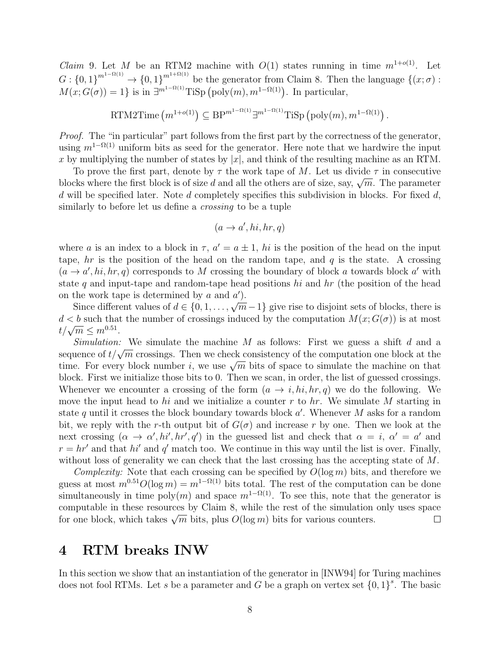*Claim* 9. Let M be an RTM2 machine with  $O(1)$  states running in time  $m^{1+o(1)}$ . Let  $G: \{0,1\}^{m^{1-\Omega(1)}} \to \{0,1\}^{m^{1+\Omega(1)}}$  be the generator from Claim 8. Then the language  $\{(x;\sigma):$  $M(x; G(\sigma)) = 1$  is in  $\exists^{m^{1-\Omega(1)}}$ TiSp (poly $(m), m^{1-\Omega(1)}$ ). In particular,

RTM2Time 
$$
(m^{1+o(1)}) \subseteq \text{BP}^{m^{1-\Omega(1)}} \exists^{m^{1-\Omega(1)}} \text{TiSp} \left(\text{poly}(m), m^{1-\Omega(1)}\right)
$$
.

Proof. The "in particular" part follows from the first part by the correctness of the generator, using  $m^{1-\Omega(1)}$  uniform bits as seed for the generator. Here note that we hardwire the input x by multiplying the number of states by  $|x|$ , and think of the resulting machine as an RTM.

To prove the first part, denote by  $\tau$  the work tape of M. Let us divide  $\tau$  in consecutive blocks where the first block is of size d and all the others are of size, say,  $\sqrt{m}$ . The parameter  $d$  will be specified later. Note  $d$  completely specifies this subdivision in blocks. For fixed  $d$ , similarly to before let us define a *crossing* to be a tuple

$$
(a \to a', hi, hr, q)
$$

where a is an index to a block in  $\tau$ ,  $a' = a \pm 1$ , hi is the position of the head on the input tape,  $hr$  is the position of the head on the random tape, and q is the state. A crossing  $(a \rightarrow a', hi, hr, q)$  corresponds to M crossing the boundary of block a towards block a' with state q and input-tape and random-tape head positions hi and hr (the position of the head on the work tape is determined by  $a$  and  $a'$ ).

Since different values of  $d \in \{0, 1, \ldots, \sqrt{m-1}\}$  give rise to disjoint sets of blocks, there is  $d < b$  such that the number of crossings induced by the computation  $M(x; G(\sigma))$  is at most  $t/\sqrt{m} \leq m^{0.51}$ .

Simulation: We simulate the machine M as follows: First we guess a shift d and a *Summation:* We simulate the machine *M* as follows. First we guess a similar and a sequence of  $t/\sqrt{m}$  crossings. Then we check consistency of the computation one block at the sequence of  $t/\sqrt{m}$  crossings. Then we check consistency of the computation one block at the time. For every block number i, we use  $\sqrt{m}$  bits of space to simulate the machine on that block. First we initialize those bits to 0. Then we scan, in order, the list of guessed crossings. Whenever we encounter a crossing of the form  $(a \to i, hi, hr, q)$  we do the following. We move the input head to hi and we initialize a counter r to hr. We simulate M starting in state q until it crosses the block boundary towards block  $a'$ . Whenever M asks for a random bit, we reply with the r-th output bit of  $G(\sigma)$  and increase r by one. Then we look at the next crossing  $(\alpha \to \alpha', hi', hr', q')$  in the guessed list and check that  $\alpha = i, \alpha' = a'$  and  $r = hr'$  and that hi' and q' match too. We continue in this way until the list is over. Finally, without loss of generality we can check that the last crossing has the accepting state of M.

Complexity: Note that each crossing can be specified by  $O(\log m)$  bits, and therefore we guess at most  $m^{0.51}O(\log m) = m^{1-\Omega(1)}$  bits total. The rest of the computation can be done simultaneously in time poly $(m)$  and space  $m^{1-\Omega(1)}$ . To see this, note that the generator is computable in these resources by Claim 8, while the rest of the simulation only uses space computable in these resources by Claim 6, while the rest of the simulation for one block, which takes  $\sqrt{m}$  bits, plus  $O(\log m)$  bits for various counters.  $\Box$ 

## 4 RTM breaks INW

In this section we show that an instantiation of the generator in [INW94] for Turing machines does not fool RTMs. Let s be a parameter and G be a graph on vertex set  $\{0,1\}^s$ . The basic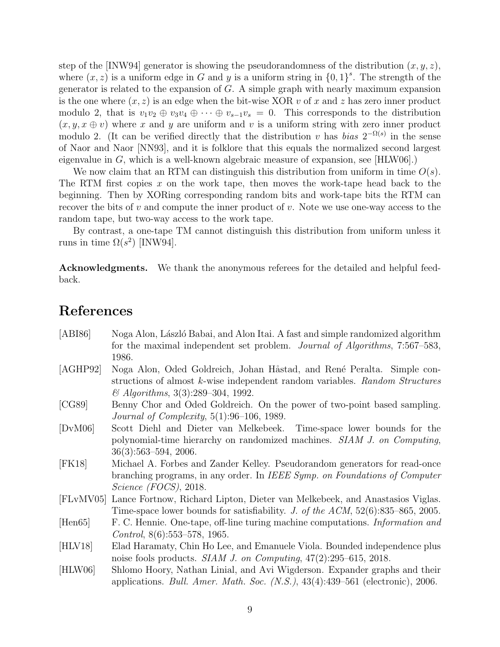step of the [INW94] generator is showing the pseudorandomness of the distribution  $(x, y, z)$ , where  $(x, z)$  is a uniform edge in G and y is a uniform string in  $\{0, 1\}^s$ . The strength of the generator is related to the expansion of  $G$ . A simple graph with nearly maximum expansion is the one where  $(x, z)$  is an edge when the bit-wise XOR v of x and z has zero inner product modulo 2, that is  $v_1v_2 \oplus v_3v_4 \oplus \cdots \oplus v_{s-1}v_s = 0$ . This corresponds to the distribution  $(x, y, x \oplus v)$  where x and y are uniform and v is a uniform string with zero inner product modulo 2. (It can be verified directly that the distribution v has bias  $2^{-\Omega(s)}$  in the sense of Naor and Naor [NN93], and it is folklore that this equals the normalized second largest eigenvalue in G, which is a well-known algebraic measure of expansion, see [HLW06].)

We now claim that an RTM can distinguish this distribution from uniform in time  $O(s)$ . The RTM first copies  $x$  on the work tape, then moves the work-tape head back to the beginning. Then by XORing corresponding random bits and work-tape bits the RTM can recover the bits of  $v$  and compute the inner product of  $v$ . Note we use one-way access to the random tape, but two-way access to the work tape.

By contrast, a one-tape TM cannot distinguish this distribution from uniform unless it runs in time  $\Omega(s^2)$  [INW94].

Acknowledgments. We thank the anonymous referees for the detailed and helpful feedback.

# References

| [AB186]   | Noga Alon, László Babai, and Alon Itai. A fast and simple randomized algorithm       |
|-----------|--------------------------------------------------------------------------------------|
|           | for the maximal independent set problem. <i>Journal of Algorithms</i> , 7:567–583,   |
|           | 1986.                                                                                |
| [AGHP92]  | Noga Alon, Oded Goldreich, Johan Håstad, and René Peralta. Simple con-               |
|           | structions of almost k-wise independent random variables. Random Structures          |
|           | $\&$ Algorithms, 3(3):289–304, 1992.                                                 |
| [CG89]    | Benny Chor and Oded Goldreich. On the power of two-point based sampling.             |
|           | <i>Journal of Complexity</i> , $5(1):96-106$ , 1989.                                 |
| [DvM06]   | Scott Diehl and Dieter van Melkebeek. Time-space lower bounds for the                |
|           | polynomial-time hierarchy on randomized machines. SIAM J. on Computing,              |
|           | $36(3):563-594, 2006.$                                                               |
| [FK18]    | Michael A. Forbes and Zander Kelley. Pseudorandom generators for read-once           |
|           | branching programs, in any order. In IEEE Symp. on Foundations of Computer           |
|           | Science (FOCS), 2018.                                                                |
| [FLvMV05] | Lance Fortnow, Richard Lipton, Dieter van Melkebeek, and Anastasios Viglas.          |
|           | Time-space lower bounds for satisfiability. J. of the ACM, $52(6)$ :835–865, 2005.   |
| [Hen65]   | F. C. Hennie. One-tape, off-line turing machine computations. <i>Information and</i> |
|           | <i>Control</i> , $8(6):553-578$ , 1965.                                              |
| [HLV18]   | Elad Haramaty, Chin Ho Lee, and Emanuele Viola. Bounded independence plus            |
|           | noise fools products. SIAM J. on Computing, $47(2):295-615$ , $2018$ .               |
| [HLW06]   | Shlomo Hoory, Nathan Linial, and Avi Wigderson. Expander graphs and their            |
|           | applications. Bull. Amer. Math. Soc. $(N.S.), 43(4):439-561$ (electronic), 2006.     |
|           |                                                                                      |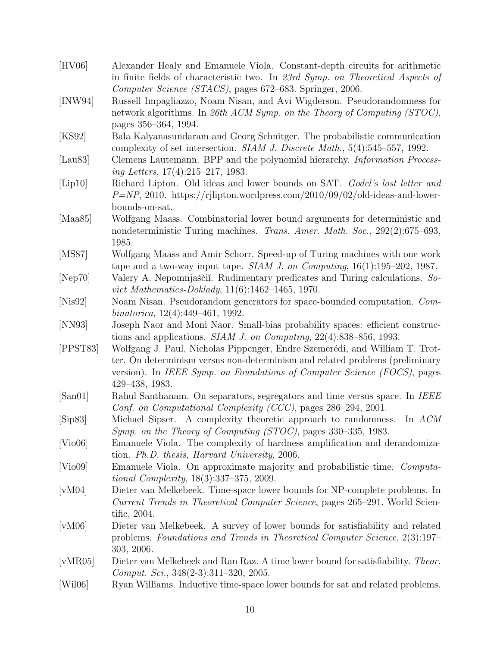| [HV06]           | Alexander Healy and Emanuele Viola. Constant-depth circuits for arithmetic<br>in finite fields of characteristic two. In 23rd Symp. on Theoretical Aspects of |
|------------------|---------------------------------------------------------------------------------------------------------------------------------------------------------------|
|                  | Computer Science (STACS), pages 672–683. Springer, 2006.                                                                                                      |
| [INW94]          | Russell Impagliazzo, Noam Nisan, and Avi Wigderson. Pseudorandomness for                                                                                      |
|                  | network algorithms. In 26th ACM Symp. on the Theory of Computing (STOC),                                                                                      |
|                  | pages 356–364, 1994.                                                                                                                                          |
| [KS92]           | Bala Kalyanasundaram and Georg Schnitger. The probabilistic communication                                                                                     |
|                  | complexity of set intersection. SIAM J. Discrete Math., 5(4):545-557, 1992.                                                                                   |
| [Lau $83$ ]      | Clemens Lautemann. BPP and the polynomial hierarchy. <i>Information Process-</i>                                                                              |
|                  | ing Letters, 17(4):215-217, 1983.                                                                                                                             |
| [Lip10]          | Richard Lipton. Old ideas and lower bounds on SAT. Godel's lost letter and                                                                                    |
|                  | $P=NP$ , 2010. https://rjlipton.wordpress.com/2010/09/02/old-ideas-and-lower-                                                                                 |
|                  | bounds-on-sat.                                                                                                                                                |
| [Maa $85$ ]      | Wolfgang Maass. Combinatorial lower bound arguments for deterministic and                                                                                     |
|                  | nondeterministic Turing machines. Trans. Amer. Math. Soc., 292(2):675-693,                                                                                    |
|                  | 1985.                                                                                                                                                         |
| [MS87]           | Wolfgang Maass and Amir Schorr. Speed-up of Turing machines with one work                                                                                     |
|                  | tape and a two-way input tape. $SIAM$ J. on Computing, $16(1):195-202$ , 1987.                                                                                |
| [Nep70]          | Valery A. Nepomnjaščii. Rudimentary predicates and Turing calculations. So-                                                                                   |
|                  | viet Mathematics-Doklady, $11(6):1462-1465$ , 1970.                                                                                                           |
| [Nis92]          | Noam Nisan. Pseudorandom generators for space-bounded computation. Com-                                                                                       |
|                  | binatorica, 12(4):449-461, 1992.                                                                                                                              |
| [NN93]           | Joseph Naor and Moni Naor. Small-bias probability spaces: efficient construc-                                                                                 |
|                  | tions and applications. <i>SIAM J. on Computing</i> , $22(4):838-856$ , 1993.                                                                                 |
| [PPST83]         | Wolfgang J. Paul, Nicholas Pippenger, Endre Szemerédi, and William T. Trot-                                                                                   |
|                  | ter. On determinism versus non-determinism and related problems (preliminary                                                                                  |
|                  | version). In IEEE Symp. on Foundations of Computer Science (FOCS), pages                                                                                      |
|                  | 429-438, 1983.                                                                                                                                                |
| [San01]          | Rahul Santhanam. On separators, segregators and time versus space. In IEEE                                                                                    |
|                  | Conf. on Computational Complexity (CCC), pages 286-294, 2001.                                                                                                 |
| [Sip83]          | Michael Sipser. A complexity theoretic approach to randomness.<br>In $ACM$                                                                                    |
|                  | Symp. on the Theory of Computing (STOC), pages 330–335, 1983.                                                                                                 |
| [Vio06]          | Emanuele Viola. The complexity of hardness amplification and derandomiza-                                                                                     |
|                  | tion. Ph.D. thesis, Harvard University, 2006.                                                                                                                 |
| Vio09            | Emanuele Viola. On approximate majority and probabilistic time. Computa-                                                                                      |
|                  | <i>tional Complexity</i> , $18(3):337-375$ , $2009$ .                                                                                                         |
| [vM04]           | Dieter van Melkebeek. Time-space lower bounds for NP-complete problems. In                                                                                    |
|                  | Current Trends in Theoretical Computer Science, pages 265–291. World Scien-                                                                                   |
|                  | tific, 2004.                                                                                                                                                  |
| [vM06]           | Dieter van Melkebeek. A survey of lower bounds for satisfiability and related                                                                                 |
|                  | problems. Foundations and Trends in Theoretical Computer Science, 2(3):197–                                                                                   |
|                  | 303, 2006.                                                                                                                                                    |
| $[\text{vMR05}]$ | Dieter van Melkebeek and Ran Raz. A time lower bound for satisfiability. Theor.                                                                               |
|                  | Comput. Sci., $348(2-3):311-320$ , $2005$ .                                                                                                                   |
| [Wil06]          | Ryan Williams. Inductive time-space lower bounds for sat and related problems.                                                                                |